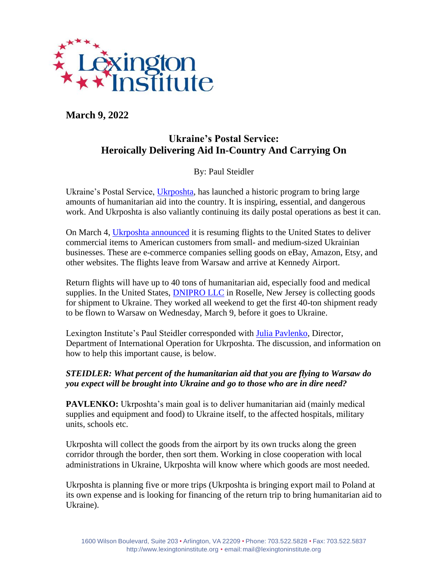

**March 9, 2022**

# **Ukraine's Postal Service: Heroically Delivering Aid In-Country And Carrying On**

By: Paul Steidler

Ukraine's Postal Service, [Ukrposhta,](https://www.ukrposhta.ua/en) has launched a historic program to bring large amounts of humanitarian aid into the country. It is inspiring, essential, and dangerous work. And Ukrposhta is also valiantly continuing its daily postal operations as best it can.

On March 4, [Ukrposhta announced](https://www.ukrposhta.ua/en/news/57575-ukrposhta-has-resumed-flights-to-the-united-states) it is resuming flights to the United States to deliver commercial items to American customers from small- and medium-sized Ukrainian businesses. These are e-commerce companies selling goods on eBay, Amazon, Etsy, and other websites. The flights leave from Warsaw and arrive at Kennedy Airport.

Return flights will have up to 40 tons of humanitarian aid, especially food and medical supplies. In the United States, **DNIPRO LLC** in Roselle, New Jersey is collecting goods for shipment to Ukraine. They worked all weekend to get the first 40-ton shipment ready to be flown to Warsaw on Wednesday, March 9, before it goes to Ukraine.

Lexington Institute's Paul Steidler corresponded with [Julia Pavlenko,](https://www.linkedin.com/in/julia-pavlenko-22a08524/?originalSubdomain=ua) Director, Department of International Operation for Ukrposhta. The discussion, and information on how to help this important cause, is below.

## *STEIDLER: What percent of the humanitarian aid that you are flying to Warsaw do you expect will be brought into Ukraine and go to those who are in dire need?*

**PAVLENKO:** Ukrposhta's main goal is to deliver humanitarian aid (mainly medical supplies and equipment and food) to Ukraine itself, to the affected hospitals, military units, schools etc.

Ukrposhta will collect the goods from the airport by its own trucks along the green corridor through the border, then sort them. Working in close cooperation with local administrations in Ukraine, Ukrposhta will know where which goods are most needed.

Ukrposhta is planning five or more trips (Ukrposhta is bringing export mail to Poland at its own expense and is looking for financing of the return trip to bring humanitarian aid to Ukraine).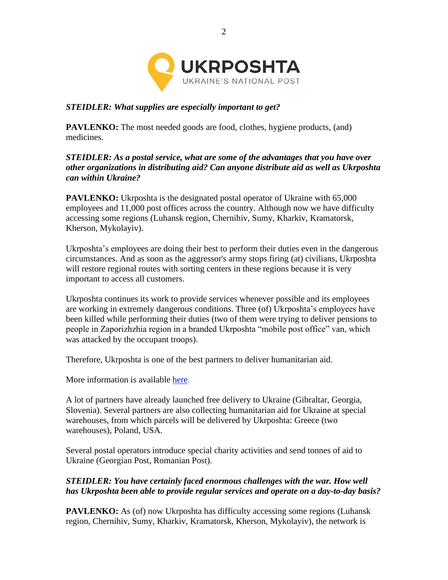

## *STEIDLER: What supplies are especially important to get?*

**PAVLENKO:** The most needed goods are food, clothes, hygiene products, (and) medicines.

#### *STEIDLER: As a postal service, what are some of the advantages that you have over other organizations in distributing aid? Can anyone distribute aid as well as Ukrposhta can within Ukraine?*

**PAVLENKO:** Ukrposhta is the designated postal operator of Ukraine with 65,000 employees and 11,000 post offices across the country. Although now we have difficulty accessing some regions (Luhansk region, Chernihiv, Sumy, Kharkiv, Kramatorsk, Kherson, Mykolayiv).

Ukrposhta's employees are doing their best to perform their duties even in the dangerous circumstances. And as soon as the aggressor's army stops firing (at) civilians, Ukrposhta will restore regional routes with sorting centers in these regions because it is very important to access all customers.

Ukrposhta continues its work to provide services whenever possible and its employees are working in extremely dangerous conditions. Three (of) Ukrposhta's employees have been killed while performing their duties (two of them were trying to deliver pensions to people in Zaporizhzhia region in a branded Ukrposhta "mobile post office" van, which was attacked by the occupant troops).

Therefore, Ukrposhta is one of the best partners to deliver humanitarian aid.

More information is available [here.](https://ukrposhta.ua/en/delivery-of-humanitarian-aid-for-ukraine)

A lot of partners have already launched free delivery to Ukraine (Gibraltar, Georgia, Slovenia). Several partners are also collecting humanitarian aid for Ukraine at special warehouses, from which parcels will be delivered by Ukrposhta: Greece (two warehouses), Poland, USA.

Several postal operators introduce special charity activities and send tonnes of aid to Ukraine (Georgian Post, Romanian Post).

#### *STEIDLER: You have certainly faced enormous challenges with the war. How well has Ukrposhta been able to provide regular services and operate on a day-to-day basis?*

**PAVLENKO:** As (of) now Ukrposhta has difficulty accessing some regions (Luhansk region, Chernihiv, Sumy, Kharkiv, Kramatorsk, Kherson, Mykolayiv), the network is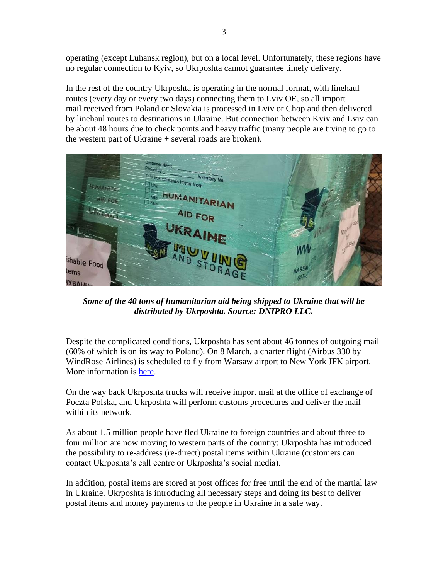operating (except Luhansk region), but on a local level. Unfortunately, these regions have no regular connection to Kyiv, so Ukrposhta cannot guarantee timely delivery.

In the rest of the country Ukrposhta is operating in the normal format, with linehaul routes (every day or every two days) connecting them to Lviv OE, so all import mail received from Poland or Slovakia is processed in Lviv or Chop and then delivered by linehaul routes to destinations in Ukraine. But connection between Kyiv and Lviv can be about 48 hours due to check points and heavy traffic (many people are trying to go to the western part of Ukraine + several roads are broken).



*Some of the 40 tons of humanitarian aid being shipped to Ukraine that will be distributed by Ukrposhta. Source: DNIPRO LLC.*

Despite the complicated conditions, Ukrposhta has sent about 46 tonnes of outgoing mail (60% of which is on its way to Poland). On 8 March, a charter flight (Airbus 330 by WindRose Airlines) is scheduled to fly from Warsaw airport to New York JFK airport. More information is [here.](https://www.ukrposhta.ua/en/news/57575-ukrposhta-vidnovila-aviaspoluchennja-do-ssha)

On the way back Ukrposhta trucks will receive import mail at the office of exchange of Poczta Polska, and Ukrposhta will perform customs procedures and deliver the mail within its network.

As about 1.5 million people have fled Ukraine to foreign countries and about three to four million are now moving to western parts of the country: Ukrposhta has introduced the possibility to re-address (re-direct) postal items within Ukraine (customers can contact Ukrposhta's call centre or Ukrposhta's social media).

In addition, postal items are stored at post offices for free until the end of the martial law in Ukraine. Ukrposhta is introducing all necessary steps and doing its best to deliver postal items and money payments to the people in Ukraine in a safe way.